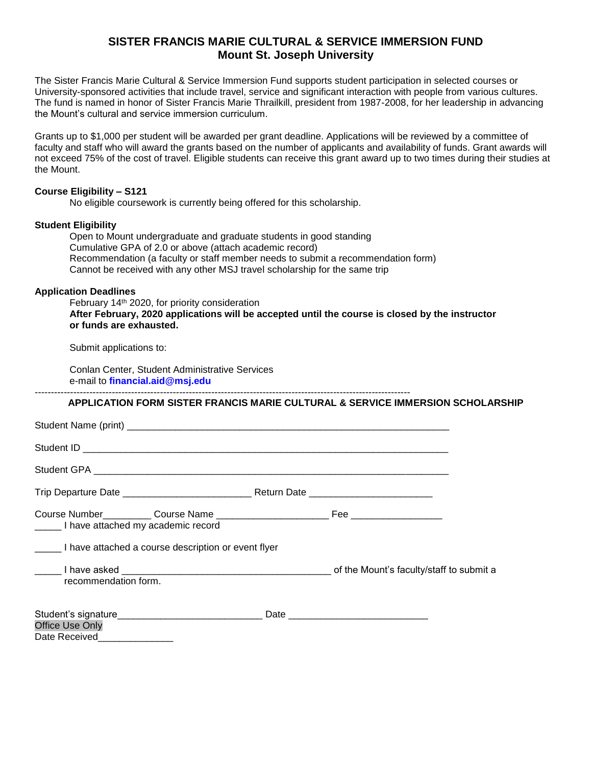## **SISTER FRANCIS MARIE CULTURAL & SERVICE IMMERSION FUND Mount St. Joseph University**

The Sister Francis Marie Cultural & Service Immersion Fund supports student participation in selected courses or University-sponsored activities that include travel, service and significant interaction with people from various cultures. The fund is named in honor of Sister Francis Marie Thrailkill, president from 1987-2008, for her leadership in advancing the Mount's cultural and service immersion curriculum.

Grants up to \$1,000 per student will be awarded per grant deadline. Applications will be reviewed by a committee of faculty and staff who will award the grants based on the number of applicants and availability of funds. Grant awards will not exceed 75% of the cost of travel. Eligible students can receive this grant award up to two times during their studies at the Mount.

### **Course Eligibility – S121**

No eligible coursework is currently being offered for this scholarship.

### **Student Eligibility**

Open to Mount undergraduate and graduate students in good standing Cumulative GPA of 2.0 or above (attach academic record) Recommendation (a faculty or staff member needs to submit a recommendation form) Cannot be received with any other MSJ travel scholarship for the same trip

### **Application Deadlines**

February 14th 2020, for priority consideration **After February, 2020 applications will be accepted until the course is closed by the instructor or funds are exhausted.** 

Submit applications to:

Conlan Center, Student Administrative Services e-mail to **financial.aid@msj.edu** 

#### **APPLICATION FORM SISTER FRANCIS MARIE CULTURAL & SERVICE IMMERSION SCHOLARSHIP**

---------------------------------------------------------------------------------------------------------------------

| I have attached my academic record                  |  |
|-----------------------------------------------------|--|
| I have attached a course description or event flyer |  |
| recommendation form.                                |  |
| <b>Office Use Only</b><br>Date Received             |  |